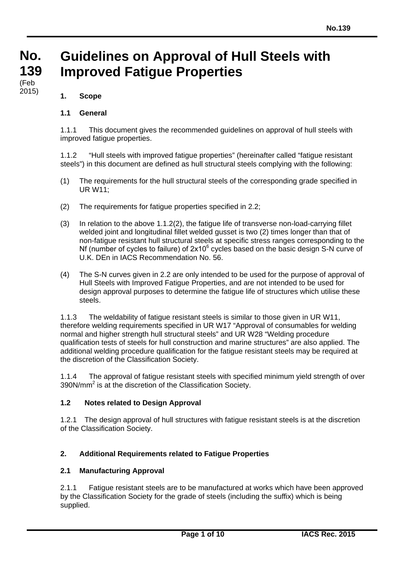#### **No. No. 139 139 Guidelines on Approval of Hull Steels with Improved Fatigue Properties**

#### (i eu<br>2015) (Feb

# **1. Scope**

# **1.1 General**

1.1.1 This document gives the recommended guidelines on approval of hull steels with improved fatigue properties.

1.1.2 "Hull steels with improved fatigue properties" (hereinafter called "fatigue resistant steels") in this document are defined as hull structural steels complying with the following:

- (1) The requirements for the hull structural steels of the corresponding grade specified in UR W11;
- (2) The requirements for fatigue properties specified in 2.2;
- (3) In relation to the above 1.1.2(2), the fatigue life of transverse non-load-carrying fillet welded joint and longitudinal fillet welded gusset is two (2) times longer than that of non-fatigue resistant hull structural steels at specific stress ranges corresponding to the Nf (number of cycles to failure) of  $2x10^6$  cycles based on the basic design S-N curve of U.K. DEn in IACS Recommendation No. 56.
- (4) The S-N curves given in 2.2 are only intended to be used for the purpose of approval of Hull Steels with Improved Fatigue Properties, and are not intended to be used for design approval purposes to determine the fatigue life of structures which utilise these steels.

1.1.3 The weldability of fatigue resistant steels is similar to those given in UR W11, therefore welding requirements specified in UR W17 "Approval of consumables for welding normal and higher strength hull structural steels" and UR W28 "Welding procedure qualification tests of steels for hull construction and marine structures" are also applied. The additional welding procedure qualification for the fatigue resistant steels may be required at the discretion of the Classification Society.

1.1.4 The approval of fatigue resistant steels with specified minimum yield strength of over 390N/mm2 is at the discretion of the Classification Society.

# **1.2 Notes related to Design Approval**

1.2.1 The design approval of hull structures with fatigue resistant steels is at the discretion of the Classification Society.

# **2. Additional Requirements related to Fatigue Properties**

# **2.1 Manufacturing Approval**

2.1.1 Fatigue resistant steels are to be manufactured at works which have been approved by the Classification Society for the grade of steels (including the suffix) which is being supplied.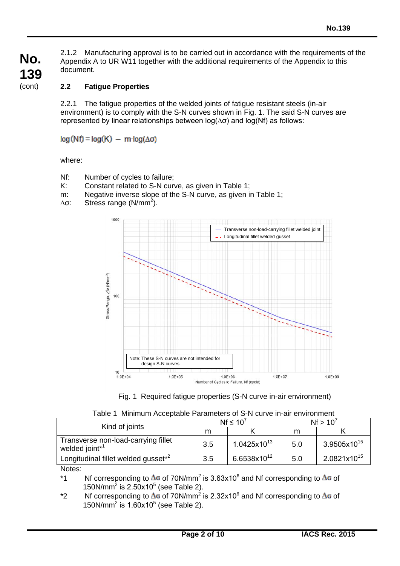2.1.2 Manufacturing approval is to be carried out in accordance with the requirements of the Appendix A to UR W11 together with the additional requirements of the Appendix to this document.

# **2.2 Fatigue Properties**

2.2.1 The fatigue properties of the welded joints of fatigue resistant steels (in-air environment) is to comply with the S-N curves shown in Fig. 1. The said S-N curves are represented by linear relationships between log(∆σ) and log(Nf) as follows:

 $log(Nf) = log(K) - m \cdot log(\Delta \sigma)$ 

where:

- Nf: Number of cycles to failure;
- K: Constant related to S-N curve, as given in Table 1;
- m: Negative inverse slope of the S-N curve, as given in Table 1;
- $\Delta$ σ: Stress range (N/mm<sup>2</sup>).



|  |  |  |  |  |  | Fig. 1 Required fatigue properties (S-N curve in-air environment) |  |
|--|--|--|--|--|--|-------------------------------------------------------------------|--|
|--|--|--|--|--|--|-------------------------------------------------------------------|--|

| Table 1 Minimum Acceptable Parameters of S-N curve in-air environment |  |
|-----------------------------------------------------------------------|--|
|-----------------------------------------------------------------------|--|

|                                                                   | $Nf \leq 10'$ |                  | Nf > 10' |                         |
|-------------------------------------------------------------------|---------------|------------------|----------|-------------------------|
| Kind of joints                                                    | m             |                  | m        |                         |
| Transverse non-load-carrying fillet<br>welded joint <sup>*1</sup> | 3.5           | $1.0425x10^{13}$ | 5.0      | $3.9505$ x $10^{15}$    |
| Longitudinal fillet welded gusset <sup>*2</sup>                   | 3.5           | $6.6538x10^{12}$ | 5.0      | 2.0821x10 <sup>15</sup> |

Notes:

\*1 Nf corresponding to  $\Delta\sigma$  of 70N/mm<sup>2</sup> is 3.63x10<sup>6</sup> and Nf corresponding to  $\Delta\sigma$  of  $150N/mm^2$  is  $2.50x10^5$  (see Table 2).

\*2 Nf corresponding to  $\Delta\sigma$  of 70N/mm<sup>2</sup> is 2.32x10<sup>6</sup> and Nf corresponding to  $\Delta\sigma$  of 150N/mm<sup>2</sup> is  $1.60x10^5$  (see Table 2).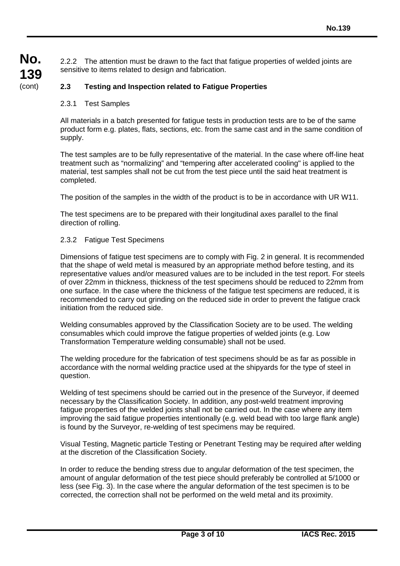2.2.2 The attention must be drawn to the fact that fatigue properties of welded joints are sensitive to items related to design and fabrication.

# **2.3 Testing and Inspection related to Fatigue Properties**

#### 2.3.1 Test Samples

All materials in a batch presented for fatigue tests in production tests are to be of the same product form e.g. plates, flats, sections, etc. from the same cast and in the same condition of supply.

The test samples are to be fully representative of the material. In the case where off-line heat treatment such as "normalizing" and "tempering after accelerated cooling" is applied to the material, test samples shall not be cut from the test piece until the said heat treatment is completed.

The position of the samples in the width of the product is to be in accordance with UR W11.

The test specimens are to be prepared with their longitudinal axes parallel to the final direction of rolling.

#### 2.3.2 Fatigue Test Specimens

Dimensions of fatigue test specimens are to comply with Fig. 2 in general. It is recommended that the shape of weld metal is measured by an appropriate method before testing, and its representative values and/or measured values are to be included in the test report. For steels of over 22mm in thickness, thickness of the test specimens should be reduced to 22mm from one surface. In the case where the thickness of the fatigue test specimens are reduced, it is recommended to carry out grinding on the reduced side in order to prevent the fatigue crack initiation from the reduced side.

Welding consumables approved by the Classification Society are to be used. The welding consumables which could improve the fatigue properties of welded joints (e.g. Low Transformation Temperature welding consumable) shall not be used.

The welding procedure for the fabrication of test specimens should be as far as possible in accordance with the normal welding practice used at the shipyards for the type of steel in question.

Welding of test specimens should be carried out in the presence of the Surveyor, if deemed necessary by the Classification Society. In addition, any post-weld treatment improving fatigue properties of the welded joints shall not be carried out. In the case where any item improving the said fatigue properties intentionally (e.g. weld bead with too large flank angle) is found by the Surveyor, re-welding of test specimens may be required.

Visual Testing, Magnetic particle Testing or Penetrant Testing may be required after welding at the discretion of the Classification Society.

In order to reduce the bending stress due to angular deformation of the test specimen, the amount of angular deformation of the test piece should preferably be controlled at 5/1000 or less (see Fig. 3). In the case where the angular deformation of the test specimen is to be corrected, the correction shall not be performed on the weld metal and its proximity.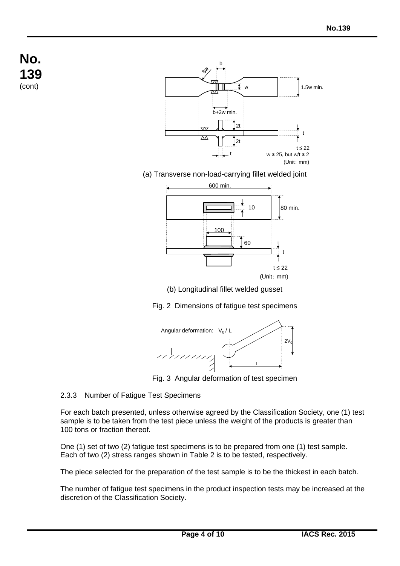

(a) Transverse non-load-carrying fillet welded joint



(b) Longitudinal fillet welded gusset

Fig. 2 Dimensions of fatigue test specimens



Fig. 3 Angular deformation of test specimen

# 2.3.3 Number of Fatigue Test Specimens

For each batch presented, unless otherwise agreed by the Classification Society, one (1) test sample is to be taken from the test piece unless the weight of the products is greater than 100 tons or fraction thereof.

One (1) set of two (2) fatigue test specimens is to be prepared from one (1) test sample. Each of two (2) stress ranges shown in Table 2 is to be tested, respectively.

The piece selected for the preparation of the test sample is to be the thickest in each batch.

The number of fatigue test specimens in the product inspection tests may be increased at the discretion of the Classification Society.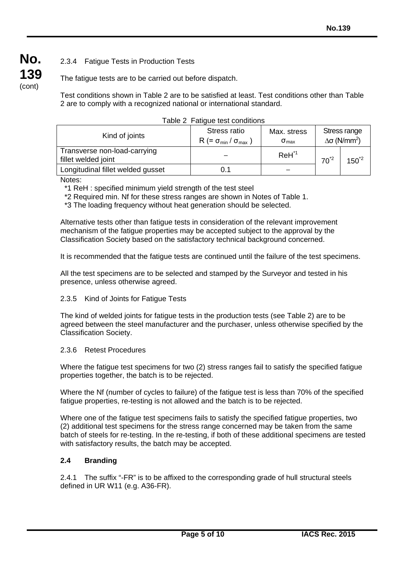# 2.3.4 Fatigue Tests in Production Tests

The fatigue tests are to be carried out before dispatch.

Test conditions shown in Table 2 are to be satisfied at least. Test conditions other than Table 2 are to comply with a recognized national or international standard.

| rabio 2 - ratigao toot corigitao io                 |                                                     |                                                                                   |          |           |  |
|-----------------------------------------------------|-----------------------------------------------------|-----------------------------------------------------------------------------------|----------|-----------|--|
| Kind of joints                                      | Stress ratio<br>$R (= \sigma_{min} / \sigma_{max})$ | Stress range<br>Max. stress<br>$Δσ$ (N/mm <sup>2</sup> )<br>$\sigma_{\text{max}}$ |          |           |  |
| Transverse non-load-carrying<br>fillet welded joint |                                                     | $ReH^{\prime 1}$                                                                  | $70^{2}$ | $150^{2}$ |  |
| Longitudinal fillet welded gusset                   | 0.1                                                 |                                                                                   |          |           |  |

|  | Table 2 Fatigue test conditions |
|--|---------------------------------|
|--|---------------------------------|

Notes:

**No.**

**139** (cont)

\*1 ReH : specified minimum yield strength of the test steel

\*2 Required min. Nf for these stress ranges are shown in Notes of Table 1.

\*3 The loading frequency without heat generation should be selected.

Alternative tests other than fatigue tests in consideration of the relevant improvement mechanism of the fatigue properties may be accepted subject to the approval by the Classification Society based on the satisfactory technical background concerned.

It is recommended that the fatigue tests are continued until the failure of the test specimens.

All the test specimens are to be selected and stamped by the Surveyor and tested in his presence, unless otherwise agreed.

#### 2.3.5 Kind of Joints for Fatigue Tests

The kind of welded joints for fatigue tests in the production tests (see Table 2) are to be agreed between the steel manufacturer and the purchaser, unless otherwise specified by the Classification Society.

#### 2.3.6 Retest Procedures

Where the fatigue test specimens for two (2) stress ranges fail to satisfy the specified fatigue properties together, the batch is to be rejected.

Where the Nf (number of cycles to failure) of the fatigue test is less than 70% of the specified fatigue properties, re-testing is not allowed and the batch is to be rejected.

Where one of the fatigue test specimens fails to satisfy the specified fatigue properties, two (2) additional test specimens for the stress range concerned may be taken from the same batch of steels for re-testing. In the re-testing, if both of these additional specimens are tested with satisfactory results, the batch may be accepted.

#### **2.4 Branding**

2.4.1 The suffix "-FR" is to be affixed to the corresponding grade of hull structural steels defined in UR W11 (e.g. A36-FR).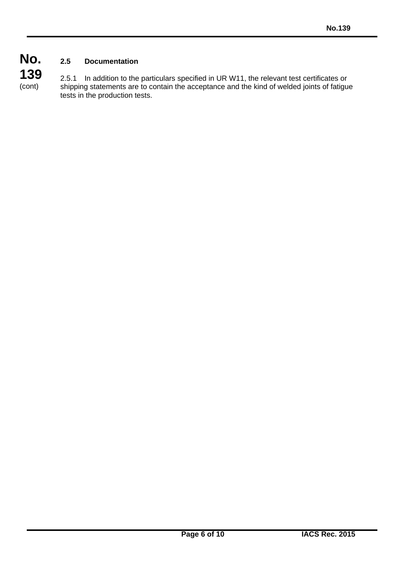# **No. 139 2.5 Documentation**

(cont)

2.5.1 In addition to the particulars specified in UR W11, the relevant test certificates or shipping statements are to contain the acceptance and the kind of welded joints of fatigue tests in the production tests.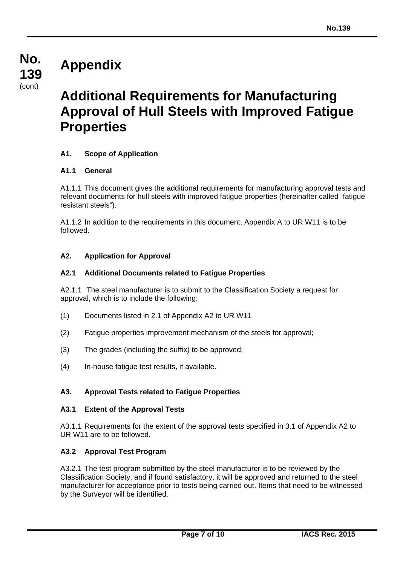# **Appendix**

**No.**

**139** (cont)

# **Additional Requirements for Manufacturing Approval of Hull Steels with Improved Fatigue Properties**

# **A1. Scope of Application**

# **A1.1 General**

A1.1.1 This document gives the additional requirements for manufacturing approval tests and relevant documents for hull steels with improved fatigue properties (hereinafter called "fatigue resistant steels").

A1.1.2 In addition to the requirements in this document, Appendix A to UR W11 is to be followed.

# **A2. Application for Approval**

#### **A2.1 Additional Documents related to Fatigue Properties**

A2.1.1 The steel manufacturer is to submit to the Classification Society a request for approval, which is to include the following:

- (1) Documents listed in 2.1 of Appendix A2 to UR W11
- (2) Fatigue properties improvement mechanism of the steels for approval;
- (3) The grades (including the suffix) to be approved;
- (4) In-house fatigue test results, if available.

# **A3. Approval Tests related to Fatigue Properties**

#### **A3.1 Extent of the Approval Tests**

A3.1.1 Requirements for the extent of the approval tests specified in 3.1 of Appendix A2 to UR W11 are to be followed.

#### **A3.2 Approval Test Program**

A3.2.1 The test program submitted by the steel manufacturer is to be reviewed by the Classification Society, and if found satisfactory, it will be approved and returned to the steel manufacturer for acceptance prior to tests being carried out. Items that need to be witnessed by the Surveyor will be identified.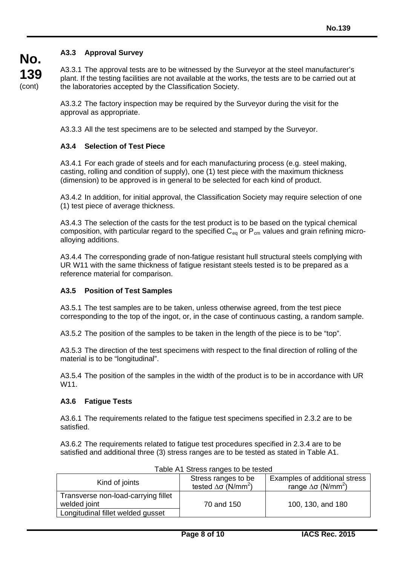# **A3.3 Approval Survey**

A3.3.1 The approval tests are to be witnessed by the Surveyor at the steel manufacturer's plant. If the testing facilities are not available at the works, the tests are to be carried out at the laboratories accepted by the Classification Society.

A3.3.2 The factory inspection may be required by the Surveyor during the visit for the approval as appropriate.

A3.3.3 All the test specimens are to be selected and stamped by the Surveyor.

# **A3.4 Selection of Test Piece**

A3.4.1 For each grade of steels and for each manufacturing process (e.g. steel making, casting, rolling and condition of supply), one (1) test piece with the maximum thickness (dimension) to be approved is in general to be selected for each kind of product.

A3.4.2 In addition, for initial approval, the Classification Society may require selection of one (1) test piece of average thickness.

A3.4.3 The selection of the casts for the test product is to be based on the typical chemical composition, with particular regard to the specified  $C_{eq}$  or  $P_{cm}$  values and grain refining microalloying additions.

A3.4.4 The corresponding grade of non-fatigue resistant hull structural steels complying with UR W11 with the same thickness of fatigue resistant steels tested is to be prepared as a reference material for comparison.

# **A3.5 Position of Test Samples**

A3.5.1 The test samples are to be taken, unless otherwise agreed, from the test piece corresponding to the top of the ingot, or, in the case of continuous casting, a random sample.

A3.5.2 The position of the samples to be taken in the length of the piece is to be "top".

A3.5.3 The direction of the test specimens with respect to the final direction of rolling of the material is to be "longitudinal".

A3.5.4 The position of the samples in the width of the product is to be in accordance with UR W11.

#### **A3.6 Fatigue Tests**

A3.6.1 The requirements related to the fatigue test specimens specified in 2.3.2 are to be satisfied.

A3.6.2 The requirements related to fatigue test procedures specified in 2.3.4 are to be satisfied and additional three (3) stress ranges are to be tested as stated in Table A1.

| Kind of joints                                      | Stress ranges to be<br>tested $\Delta\sigma$ (N/mm <sup>2</sup> ) | Examples of additional stress<br>range $\Delta\sigma$ (N/mm <sup>2</sup> ) |
|-----------------------------------------------------|-------------------------------------------------------------------|----------------------------------------------------------------------------|
| Transverse non-load-carrying fillet<br>welded joint | 70 and 150                                                        | 100, 130, and 180                                                          |
| Longitudinal fillet welded gusset                   |                                                                   |                                                                            |

Table A1 Stress ranges to be tested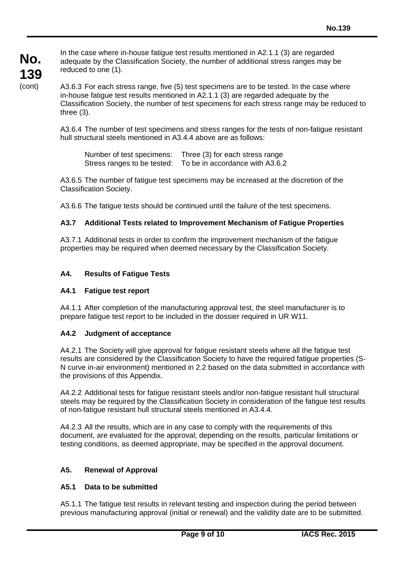In the case where in-house fatigue test results mentioned in A2.1.1 (3) are regarded adequate by the Classification Society, the number of additional stress ranges may be reduced to one (1).

A3.6.3 For each stress range, five (5) test specimens are to be tested. In the case where in-house fatigue test results mentioned in A2.1.1 (3) are regarded adequate by the Classification Society, the number of test specimens for each stress range may be reduced to three (3).

A3.6.4 The number of test specimens and stress ranges for the tests of non-fatigue resistant hull structural steels mentioned in A3.4.4 above are as follows:

Number of test specimens: Three (3) for each stress range Stress ranges to be tested: To be in accordance with A3.6.2

A3.6.5 The number of fatigue test specimens may be increased at the discretion of the Classification Society.

A3.6.6 The fatigue tests should be continued until the failure of the test specimens.

# **A3.7 Additional Tests related to Improvement Mechanism of Fatigue Properties**

A3.7.1 Additional tests in order to confirm the improvement mechanism of the fatigue properties may be required when deemed necessary by the Classification Society.

#### **A4. Results of Fatigue Tests**

#### **A4.1 Fatigue test report**

A4.1.1 After completion of the manufacturing approval test, the steel manufacturer is to prepare fatigue test report to be included in the dossier required in UR W11.

#### **A4.2 Judgment of acceptance**

A4.2.1 The Society will give approval for fatigue resistant steels where all the fatigue test results are considered by the Classification Society to have the required fatigue properties (S-N curve in-air environment) mentioned in 2.2 based on the data submitted in accordance with the provisions of this Appendix.

A4.2.2 Additional tests for fatigue resistant steels and/or non-fatigue resistant hull structural steels may be required by the Classification Society in consideration of the fatigue test results of non-fatigue resistant hull structural steels mentioned in A3.4.4.

A4.2.3 All the results, which are in any case to comply with the requirements of this document, are evaluated for the approval; depending on the results, particular limitations or testing conditions, as deemed appropriate, may be specified in the approval document.

#### **A5. Renewal of Approval**

#### **A5.1 Data to be submitted**

A5.1.1 The fatigue test results in relevant testing and inspection during the period between previous manufacturing approval (initial or renewal) and the validity date are to be submitted.